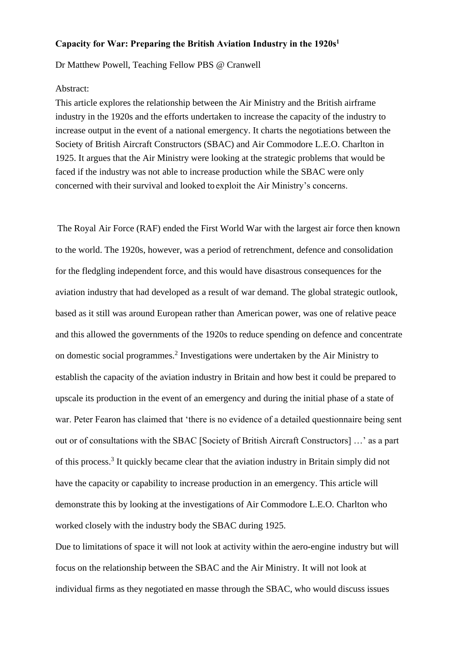## **Capacity for War: Preparing the British Aviation Industry in the 1920s<sup>1</sup>**

Dr Matthew Powell, Teaching Fellow PBS @ Cranwell

## Abstract:

This article explores the relationship between the Air Ministry and the British airframe industry in the 1920s and the efforts undertaken to increase the capacity of the industry to increase output in the event of a national emergency. It charts the negotiations between the Society of British Aircraft Constructors (SBAC) and Air Commodore L.E.O. Charlton in 1925. It argues that the Air Ministry were looking at the strategic problems that would be faced if the industry was not able to increase production while the SBAC were only concerned with their survival and looked toexploit the Air Ministry's concerns.

The Royal Air Force (RAF) ended the First World War with the largest air force then known to the world. The 1920s, however, was a period of retrenchment, defence and consolidation for the fledgling independent force, and this would have disastrous consequences for the aviation industry that had developed as a result of war demand. The global strategic outlook, based as it still was around European rather than American power, was one of relative peace and this allowed the governments of the 1920s to reduce spending on defence and concentrate on domestic social programmes.<sup>2</sup> Investigations were undertaken by the Air Ministry to establish the capacity of the aviation industry in Britain and how best it could be prepared to upscale its production in the event of an emergency and during the initial phase of a state of war. Peter Fearon has claimed that 'there is no evidence of a detailed questionnaire being sent out or of consultations with the SBAC [Society of British Aircraft Constructors] …' as a part of this process.<sup>3</sup> It quickly became clear that the aviation industry in Britain simply did not have the capacity or capability to increase production in an emergency. This article will demonstrate this by looking at the investigations of Air Commodore L.E.O. Charlton who worked closely with the industry body the SBAC during 1925.

Due to limitations of space it will not look at activity within the aero-engine industry but will focus on the relationship between the SBAC and the Air Ministry. It will not look at individual firms as they negotiated en masse through the SBAC, who would discuss issues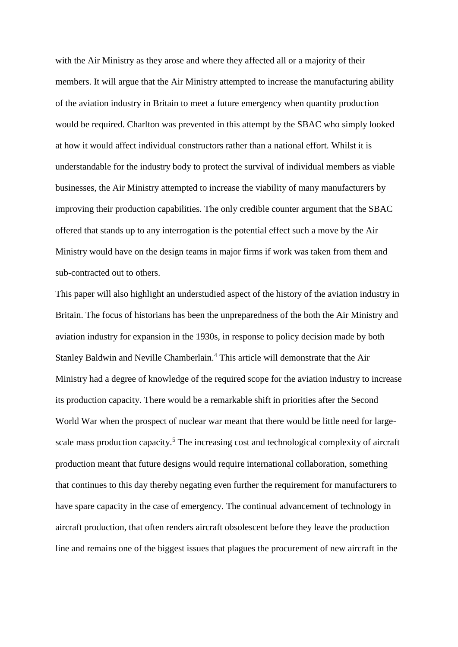with the Air Ministry as they arose and where they affected all or a majority of their members. It will argue that the Air Ministry attempted to increase the manufacturing ability of the aviation industry in Britain to meet a future emergency when quantity production would be required. Charlton was prevented in this attempt by the SBAC who simply looked at how it would affect individual constructors rather than a national effort. Whilst it is understandable for the industry body to protect the survival of individual members as viable businesses, the Air Ministry attempted to increase the viability of many manufacturers by improving their production capabilities. The only credible counter argument that the SBAC offered that stands up to any interrogation is the potential effect such a move by the Air Ministry would have on the design teams in major firms if work was taken from them and sub-contracted out to others.

This paper will also highlight an understudied aspect of the history of the aviation industry in Britain. The focus of historians has been the unpreparedness of the both the Air Ministry and aviation industry for expansion in the 1930s, in response to policy decision made by both Stanley Baldwin and Neville Chamberlain.<sup>4</sup> This article will demonstrate that the Air Ministry had a degree of knowledge of the required scope for the aviation industry to increase its production capacity. There would be a remarkable shift in priorities after the Second World War when the prospect of nuclear war meant that there would be little need for largescale mass production capacity.<sup>5</sup> The increasing cost and technological complexity of aircraft production meant that future designs would require international collaboration, something that continues to this day thereby negating even further the requirement for manufacturers to have spare capacity in the case of emergency. The continual advancement of technology in aircraft production, that often renders aircraft obsolescent before they leave the production line and remains one of the biggest issues that plagues the procurement of new aircraft in the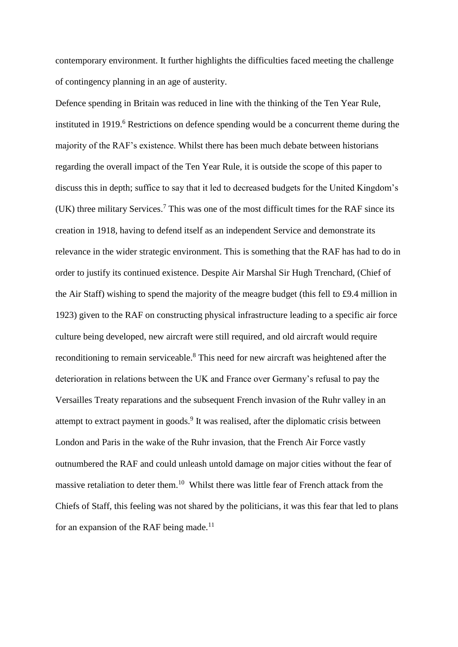contemporary environment. It further highlights the difficulties faced meeting the challenge of contingency planning in an age of austerity.

Defence spending in Britain was reduced in line with the thinking of the Ten Year Rule, instituted in 1919.<sup>6</sup> Restrictions on defence spending would be a concurrent theme during the majority of the RAF's existence. Whilst there has been much debate between historians regarding the overall impact of the Ten Year Rule, it is outside the scope of this paper to discuss this in depth; suffice to say that it led to decreased budgets for the United Kingdom's (UK) three military Services. <sup>7</sup> This was one of the most difficult times for the RAF since its creation in 1918, having to defend itself as an independent Service and demonstrate its relevance in the wider strategic environment. This is something that the RAF has had to do in order to justify its continued existence. Despite Air Marshal Sir Hugh Trenchard, (Chief of the Air Staff) wishing to spend the majority of the meagre budget (this fell to £9.4 million in 1923) given to the RAF on constructing physical infrastructure leading to a specific air force culture being developed, new aircraft were still required, and old aircraft would require reconditioning to remain serviceable.<sup>8</sup> This need for new aircraft was heightened after the deterioration in relations between the UK and France over Germany's refusal to pay the Versailles Treaty reparations and the subsequent French invasion of the Ruhr valley in an attempt to extract payment in goods.<sup>9</sup> It was realised, after the diplomatic crisis between London and Paris in the wake of the Ruhr invasion, that the French Air Force vastly outnumbered the RAF and could unleash untold damage on major cities without the fear of massive retaliation to deter them.<sup>10</sup> Whilst there was little fear of French attack from the Chiefs of Staff, this feeling was not shared by the politicians, it was this fear that led to plans for an expansion of the RAF being made.<sup>11</sup>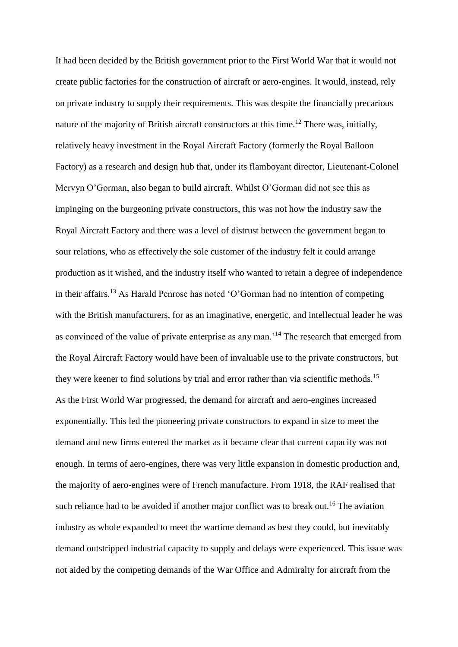It had been decided by the British government prior to the First World War that it would not create public factories for the construction of aircraft or aero-engines. It would, instead, rely on private industry to supply their requirements. This was despite the financially precarious nature of the majority of British aircraft constructors at this time.<sup>12</sup> There was, initially, relatively heavy investment in the Royal Aircraft Factory (formerly the Royal Balloon Factory) as a research and design hub that, under its flamboyant director, Lieutenant-Colonel Mervyn O'Gorman, also began to build aircraft. Whilst O'Gorman did not see this as impinging on the burgeoning private constructors, this was not how the industry saw the Royal Aircraft Factory and there was a level of distrust between the government began to sour relations, who as effectively the sole customer of the industry felt it could arrange production as it wished, and the industry itself who wanted to retain a degree of independence in their affairs.<sup>13</sup> As Harald Penrose has noted 'O'Gorman had no intention of competing with the British manufacturers, for as an imaginative, energetic, and intellectual leader he was as convinced of the value of private enterprise as any man.'<sup>14</sup> The research that emerged from the Royal Aircraft Factory would have been of invaluable use to the private constructors, but they were keener to find solutions by trial and error rather than via scientific methods.<sup>15</sup> As the First World War progressed, the demand for aircraft and aero-engines increased exponentially. This led the pioneering private constructors to expand in size to meet the demand and new firms entered the market as it became clear that current capacity was not enough. In terms of aero-engines, there was very little expansion in domestic production and, the majority of aero-engines were of French manufacture. From 1918, the RAF realised that such reliance had to be avoided if another major conflict was to break out.<sup>16</sup> The aviation industry as whole expanded to meet the wartime demand as best they could, but inevitably demand outstripped industrial capacity to supply and delays were experienced. This issue was not aided by the competing demands of the War Office and Admiralty for aircraft from the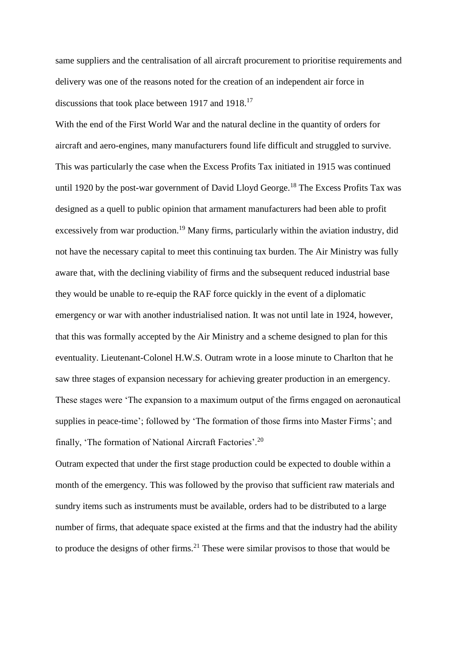same suppliers and the centralisation of all aircraft procurement to prioritise requirements and delivery was one of the reasons noted for the creation of an independent air force in discussions that took place between 1917 and 1918.<sup>17</sup>

With the end of the First World War and the natural decline in the quantity of orders for aircraft and aero-engines, many manufacturers found life difficult and struggled to survive. This was particularly the case when the Excess Profits Tax initiated in 1915 was continued until 1920 by the post-war government of David Lloyd George.<sup>18</sup> The Excess Profits Tax was designed as a quell to public opinion that armament manufacturers had been able to profit excessively from war production.<sup>19</sup> Many firms, particularly within the aviation industry, did not have the necessary capital to meet this continuing tax burden. The Air Ministry was fully aware that, with the declining viability of firms and the subsequent reduced industrial base they would be unable to re-equip the RAF force quickly in the event of a diplomatic emergency or war with another industrialised nation. It was not until late in 1924, however, that this was formally accepted by the Air Ministry and a scheme designed to plan for this eventuality. Lieutenant-Colonel H.W.S. Outram wrote in a loose minute to Charlton that he saw three stages of expansion necessary for achieving greater production in an emergency. These stages were 'The expansion to a maximum output of the firms engaged on aeronautical supplies in peace-time'; followed by 'The formation of those firms into Master Firms'; and finally, 'The formation of National Aircraft Factories'.<sup>20</sup>

Outram expected that under the first stage production could be expected to double within a month of the emergency. This was followed by the proviso that sufficient raw materials and sundry items such as instruments must be available, orders had to be distributed to a large number of firms, that adequate space existed at the firms and that the industry had the ability to produce the designs of other firms.<sup>21</sup> These were similar provisos to those that would be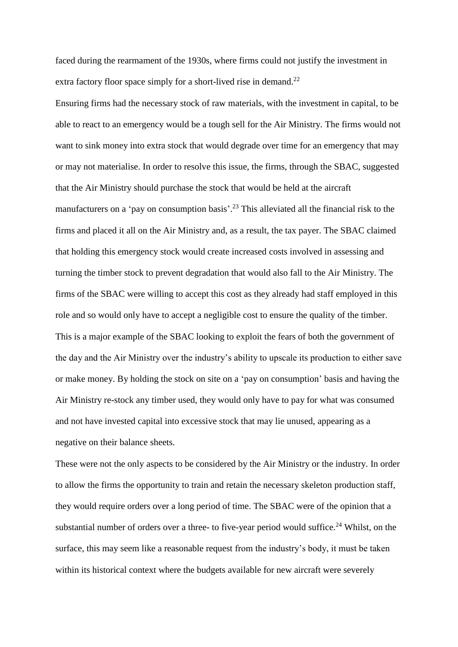faced during the rearmament of the 1930s, where firms could not justify the investment in extra factory floor space simply for a short-lived rise in demand.<sup>22</sup>

Ensuring firms had the necessary stock of raw materials, with the investment in capital, to be able to react to an emergency would be a tough sell for the Air Ministry. The firms would not want to sink money into extra stock that would degrade over time for an emergency that may or may not materialise. In order to resolve this issue, the firms, through the SBAC, suggested that the Air Ministry should purchase the stock that would be held at the aircraft manufacturers on a 'pay on consumption basis'.<sup>23</sup> This alleviated all the financial risk to the firms and placed it all on the Air Ministry and, as a result, the tax payer. The SBAC claimed that holding this emergency stock would create increased costs involved in assessing and turning the timber stock to prevent degradation that would also fall to the Air Ministry. The firms of the SBAC were willing to accept this cost as they already had staff employed in this role and so would only have to accept a negligible cost to ensure the quality of the timber. This is a major example of the SBAC looking to exploit the fears of both the government of the day and the Air Ministry over the industry's ability to upscale its production to either save or make money. By holding the stock on site on a 'pay on consumption' basis and having the Air Ministry re-stock any timber used, they would only have to pay for what was consumed and not have invested capital into excessive stock that may lie unused, appearing as a negative on their balance sheets.

These were not the only aspects to be considered by the Air Ministry or the industry. In order to allow the firms the opportunity to train and retain the necessary skeleton production staff, they would require orders over a long period of time. The SBAC were of the opinion that a substantial number of orders over a three- to five-year period would suffice.<sup>24</sup> Whilst, on the surface, this may seem like a reasonable request from the industry's body, it must be taken within its historical context where the budgets available for new aircraft were severely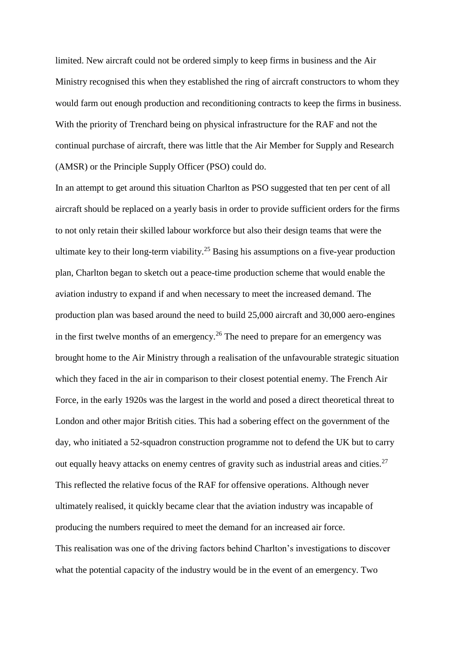limited. New aircraft could not be ordered simply to keep firms in business and the Air Ministry recognised this when they established the ring of aircraft constructors to whom they would farm out enough production and reconditioning contracts to keep the firms in business. With the priority of Trenchard being on physical infrastructure for the RAF and not the continual purchase of aircraft, there was little that the Air Member for Supply and Research (AMSR) or the Principle Supply Officer (PSO) could do.

In an attempt to get around this situation Charlton as PSO suggested that ten per cent of all aircraft should be replaced on a yearly basis in order to provide sufficient orders for the firms to not only retain their skilled labour workforce but also their design teams that were the ultimate key to their long-term viability.<sup>25</sup> Basing his assumptions on a five-year production plan, Charlton began to sketch out a peace-time production scheme that would enable the aviation industry to expand if and when necessary to meet the increased demand. The production plan was based around the need to build 25,000 aircraft and 30,000 aero-engines in the first twelve months of an emergency.<sup>26</sup> The need to prepare for an emergency was brought home to the Air Ministry through a realisation of the unfavourable strategic situation which they faced in the air in comparison to their closest potential enemy. The French Air Force, in the early 1920s was the largest in the world and posed a direct theoretical threat to London and other major British cities. This had a sobering effect on the government of the day, who initiated a 52-squadron construction programme not to defend the UK but to carry out equally heavy attacks on enemy centres of gravity such as industrial areas and cities.<sup>27</sup> This reflected the relative focus of the RAF for offensive operations. Although never ultimately realised, it quickly became clear that the aviation industry was incapable of producing the numbers required to meet the demand for an increased air force. This realisation was one of the driving factors behind Charlton's investigations to discover what the potential capacity of the industry would be in the event of an emergency. Two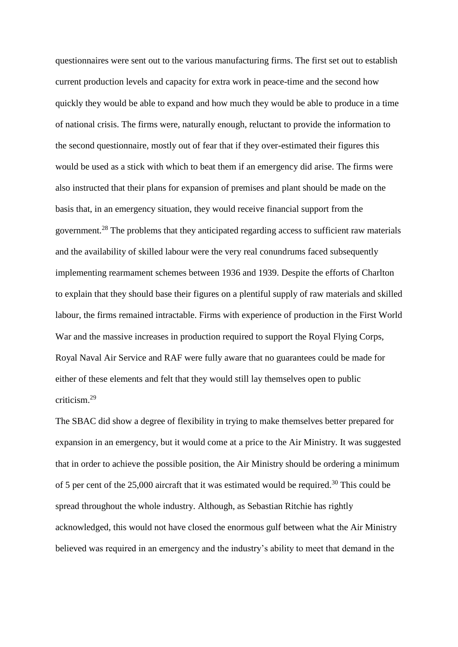questionnaires were sent out to the various manufacturing firms. The first set out to establish current production levels and capacity for extra work in peace-time and the second how quickly they would be able to expand and how much they would be able to produce in a time of national crisis. The firms were, naturally enough, reluctant to provide the information to the second questionnaire, mostly out of fear that if they over-estimated their figures this would be used as a stick with which to beat them if an emergency did arise. The firms were also instructed that their plans for expansion of premises and plant should be made on the basis that, in an emergency situation, they would receive financial support from the government.<sup>28</sup> The problems that they anticipated regarding access to sufficient raw materials and the availability of skilled labour were the very real conundrums faced subsequently implementing rearmament schemes between 1936 and 1939. Despite the efforts of Charlton to explain that they should base their figures on a plentiful supply of raw materials and skilled labour, the firms remained intractable. Firms with experience of production in the First World War and the massive increases in production required to support the Royal Flying Corps, Royal Naval Air Service and RAF were fully aware that no guarantees could be made for either of these elements and felt that they would still lay themselves open to public criticism.<sup>29</sup>

The SBAC did show a degree of flexibility in trying to make themselves better prepared for expansion in an emergency, but it would come at a price to the Air Ministry. It was suggested that in order to achieve the possible position, the Air Ministry should be ordering a minimum of 5 per cent of the  $25,000$  aircraft that it was estimated would be required.<sup>30</sup> This could be spread throughout the whole industry. Although, as Sebastian Ritchie has rightly acknowledged, this would not have closed the enormous gulf between what the Air Ministry believed was required in an emergency and the industry's ability to meet that demand in the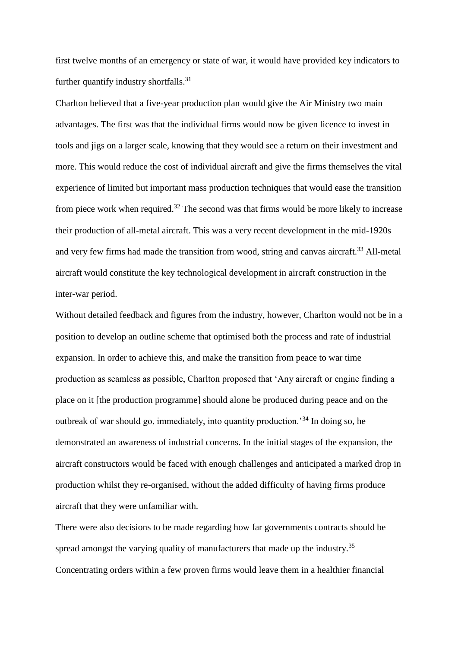first twelve months of an emergency or state of war, it would have provided key indicators to further quantify industry shortfalls.<sup>31</sup>

Charlton believed that a five-year production plan would give the Air Ministry two main advantages. The first was that the individual firms would now be given licence to invest in tools and jigs on a larger scale, knowing that they would see a return on their investment and more. This would reduce the cost of individual aircraft and give the firms themselves the vital experience of limited but important mass production techniques that would ease the transition from piece work when required.<sup>32</sup> The second was that firms would be more likely to increase their production of all-metal aircraft. This was a very recent development in the mid-1920s and very few firms had made the transition from wood, string and canvas aircraft.<sup>33</sup> All-metal aircraft would constitute the key technological development in aircraft construction in the inter-war period.

Without detailed feedback and figures from the industry, however, Charlton would not be in a position to develop an outline scheme that optimised both the process and rate of industrial expansion. In order to achieve this, and make the transition from peace to war time production as seamless as possible, Charlton proposed that 'Any aircraft or engine finding a place on it [the production programme] should alone be produced during peace and on the outbreak of war should go, immediately, into quantity production.'<sup>34</sup> In doing so, he demonstrated an awareness of industrial concerns. In the initial stages of the expansion, the aircraft constructors would be faced with enough challenges and anticipated a marked drop in production whilst they re-organised, without the added difficulty of having firms produce aircraft that they were unfamiliar with.

There were also decisions to be made regarding how far governments contracts should be spread amongst the varying quality of manufacturers that made up the industry.<sup>35</sup> Concentrating orders within a few proven firms would leave them in a healthier financial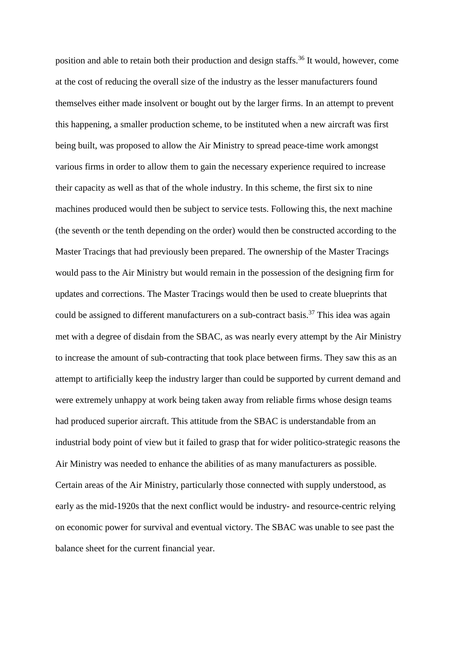position and able to retain both their production and design staffs.<sup>36</sup> It would, however, come at the cost of reducing the overall size of the industry as the lesser manufacturers found themselves either made insolvent or bought out by the larger firms. In an attempt to prevent this happening, a smaller production scheme, to be instituted when a new aircraft was first being built, was proposed to allow the Air Ministry to spread peace-time work amongst various firms in order to allow them to gain the necessary experience required to increase their capacity as well as that of the whole industry. In this scheme, the first six to nine machines produced would then be subject to service tests. Following this, the next machine (the seventh or the tenth depending on the order) would then be constructed according to the Master Tracings that had previously been prepared. The ownership of the Master Tracings would pass to the Air Ministry but would remain in the possession of the designing firm for updates and corrections. The Master Tracings would then be used to create blueprints that could be assigned to different manufacturers on a sub-contract basis.<sup>37</sup> This idea was again met with a degree of disdain from the SBAC, as was nearly every attempt by the Air Ministry to increase the amount of sub-contracting that took place between firms. They saw this as an attempt to artificially keep the industry larger than could be supported by current demand and were extremely unhappy at work being taken away from reliable firms whose design teams had produced superior aircraft. This attitude from the SBAC is understandable from an industrial body point of view but it failed to grasp that for wider politico-strategic reasons the Air Ministry was needed to enhance the abilities of as many manufacturers as possible. Certain areas of the Air Ministry, particularly those connected with supply understood, as early as the mid-1920s that the next conflict would be industry- and resource-centric relying on economic power for survival and eventual victory. The SBAC was unable to see past the balance sheet for the current financial year.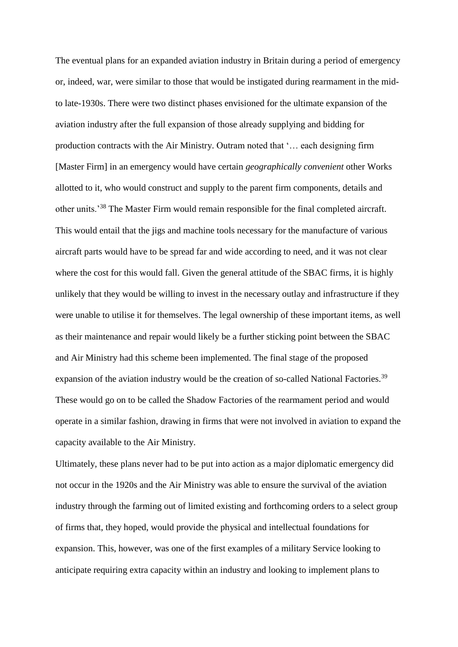The eventual plans for an expanded aviation industry in Britain during a period of emergency or, indeed, war, were similar to those that would be instigated during rearmament in the midto late-1930s. There were two distinct phases envisioned for the ultimate expansion of the aviation industry after the full expansion of those already supplying and bidding for production contracts with the Air Ministry. Outram noted that '… each designing firm [Master Firm] in an emergency would have certain *geographically convenient* other Works allotted to it, who would construct and supply to the parent firm components, details and other units.'<sup>38</sup> The Master Firm would remain responsible for the final completed aircraft. This would entail that the jigs and machine tools necessary for the manufacture of various aircraft parts would have to be spread far and wide according to need, and it was not clear where the cost for this would fall. Given the general attitude of the SBAC firms, it is highly unlikely that they would be willing to invest in the necessary outlay and infrastructure if they were unable to utilise it for themselves. The legal ownership of these important items, as well as their maintenance and repair would likely be a further sticking point between the SBAC and Air Ministry had this scheme been implemented. The final stage of the proposed expansion of the aviation industry would be the creation of so-called National Factories.<sup>39</sup> These would go on to be called the Shadow Factories of the rearmament period and would operate in a similar fashion, drawing in firms that were not involved in aviation to expand the capacity available to the Air Ministry.

Ultimately, these plans never had to be put into action as a major diplomatic emergency did not occur in the 1920s and the Air Ministry was able to ensure the survival of the aviation industry through the farming out of limited existing and forthcoming orders to a select group of firms that, they hoped, would provide the physical and intellectual foundations for expansion. This, however, was one of the first examples of a military Service looking to anticipate requiring extra capacity within an industry and looking to implement plans to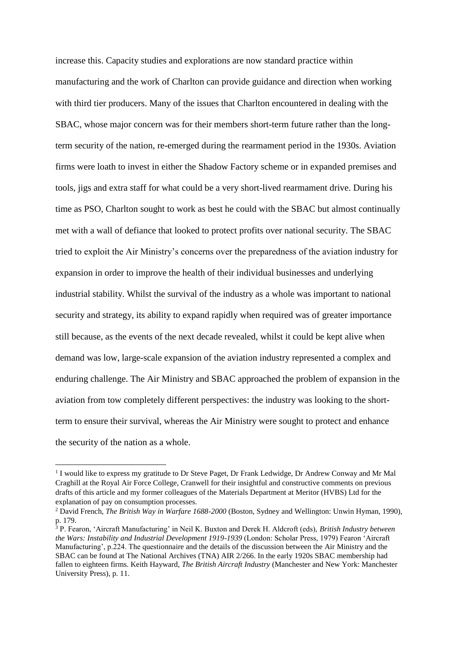increase this. Capacity studies and explorations are now standard practice within manufacturing and the work of Charlton can provide guidance and direction when working with third tier producers. Many of the issues that Charlton encountered in dealing with the SBAC, whose major concern was for their members short-term future rather than the longterm security of the nation, re-emerged during the rearmament period in the 1930s. Aviation firms were loath to invest in either the Shadow Factory scheme or in expanded premises and tools, jigs and extra staff for what could be a very short-lived rearmament drive. During his time as PSO, Charlton sought to work as best he could with the SBAC but almost continually met with a wall of defiance that looked to protect profits over national security. The SBAC tried to exploit the Air Ministry's concerns over the preparedness of the aviation industry for expansion in order to improve the health of their individual businesses and underlying industrial stability. Whilst the survival of the industry as a whole was important to national security and strategy, its ability to expand rapidly when required was of greater importance still because, as the events of the next decade revealed, whilst it could be kept alive when demand was low, large-scale expansion of the aviation industry represented a complex and enduring challenge. The Air Ministry and SBAC approached the problem of expansion in the aviation from tow completely different perspectives: the industry was looking to the shortterm to ensure their survival, whereas the Air Ministry were sought to protect and enhance the security of the nation as a whole.

1

<sup>&</sup>lt;sup>1</sup> I would like to express my gratitude to Dr Steve Paget, Dr Frank Ledwidge, Dr Andrew Conway and Mr Mal Craghill at the Royal Air Force College, Cranwell for their insightful and constructive comments on previous drafts of this article and my former colleagues of the Materials Department at Meritor (HVBS) Ltd for the explanation of pay on consumption processes.

<sup>2</sup> David French, *The British Way in Warfare 1688-2000* (Boston, Sydney and Wellington: Unwin Hyman, 1990), p. 179.

<sup>3</sup> P. Fearon, 'Aircraft Manufacturing' in Neil K. Buxton and Derek H. Aldcroft (eds), *British Industry between the Wars: Instability and Industrial Development 1919-1939* (London: Scholar Press, 1979) Fearon 'Aircraft Manufacturing', p.224. The questionnaire and the details of the discussion between the Air Ministry and the SBAC can be found at The National Archives (TNA) AIR 2/266. In the early 1920s SBAC membership had fallen to eighteen firms. Keith Hayward, *The British Aircraft Industry* (Manchester and New York: Manchester University Press), p. 11.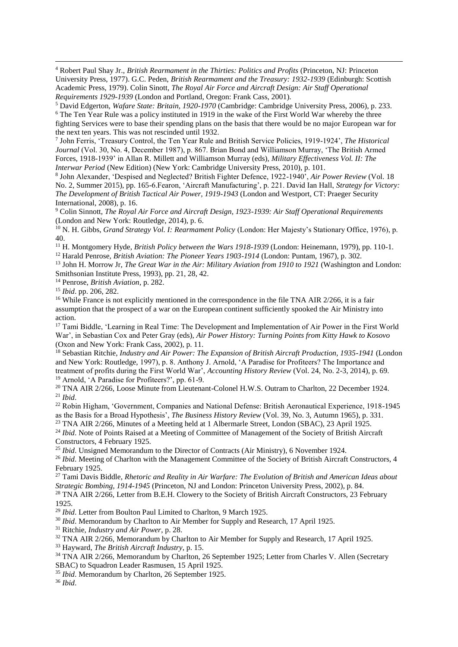<sup>4</sup> Robert Paul Shay Jr., *British Rearmament in the Thirties: Politics and Profits* (Princeton, NJ: Princeton University Press, 1977). G.C. Peden, *British Rearmament and the Treasury: 1932-1939* (Edinburgh: Scottish Academic Press, 1979). Colin Sinott, *The Royal Air Force and Aircraft Design: Air Staff Operational Requirements 1929-1939* (London and Portland, Oregon: Frank Cass, 2001).

<sup>5</sup> David Edgerton, *Wafare State: Britain, 1920-1970* (Cambridge: Cambridge University Press, 2006), p. 233. <sup>6</sup> The Ten Year Rule was a policy instituted in 1919 in the wake of the First World War whereby the three fighting Services were to base their spending plans on the basis that there would be no major European war for the next ten years. This was not rescinded until 1932.

7 John Ferris, 'Treasury Control, the Ten Year Rule and British Service Policies, 1919-1924', *The Historical Journal* (Vol. 30, No. 4, December 1987), p. 867. Brian Bond and Williamson Murray, 'The British Armed Forces, 1918-1939' in Allan R. Millett and Williamson Murray (eds), *Military Effectiveness Vol. II: The Interwar Period* (New Edition) (New York: Cambridge University Press, 2010), p. 101.

8 John Alexander, 'Despised and Neglected? British Fighter Defence, 1922-1940', *Air Power Review* (Vol. 18 No. 2, Summer 2015), pp. 165-6.Fearon, 'Aircraft Manufacturing', p. 221. David Ian Hall, *Strategy for Victory: The Development of British Tactical Air Power, 1919-1943* (London and Westport, CT: Praeger Security International, 2008), p. 16.

<sup>9</sup> Colin Sinnott, *The Royal Air Force and Aircraft Design, 1923-1939: Air Staff Operational Requirements* (London and New York: Routledge, 2014), p. 6.

<sup>10</sup> N. H. Gibbs, *Grand Strategy Vol. I: Rearmament Policy* (London: Her Majesty's Stationary Office, 1976), p. 40.

<sup>11</sup> H. Montgomery Hyde, *British Policy between the Wars 1918-1939* (London: Heinemann, 1979), pp. 110-1.

<sup>12</sup> Harald Penrose, *British Aviation: The Pioneer Years 1903-1914* (London: Puntam, 1967), p. 302.

<sup>13</sup> John H. Morrow Jr, *The Great War in the Air: Military Aviation from 1910 to 1921* (Washington and London: Smithsonian Institute Press, 1993), pp. 21, 28, 42.

<sup>14</sup> Penrose, *British Aviation*, p. 282.

<sup>15</sup> *Ibid*. pp. 206, 282.

1

<sup>16</sup> While France is not explicitly mentioned in the correspondence in the file TNA AIR  $2/266$ , it is a fair assumption that the prospect of a war on the European continent sufficiently spooked the Air Ministry into action.

<sup>17</sup> Tami Biddle, 'Learning in Real Time: The Development and Implementation of Air Power in the First World War', in Sebastian Cox and Peter Gray (eds), *Air Power History: Turning Points from Kitty Hawk to Kosovo* (Oxon and New York: Frank Cass, 2002), p. 11.

<sup>18</sup> Sebastian Ritchie, *Industry and Air Power: The Expansion of British Aircraft Production, 1935-1941* (London and New York: Routledge, 1997), p. 8. Anthony J. Arnold, 'A Paradise for Profiteers? The Importance and treatment of profits during the First World War', *Accounting History Review* (Vol. 24, No. 2-3, 2014), p. 69. <sup>19</sup> Arnold, 'A Paradise for Profiteers?', pp. 61-9.

<sup>20</sup> TNA AIR 2/266, Loose Minute from Lieutenant-Colonel H.W.S. Outram to Charlton, 22 December 1924. <sup>21</sup> *Ibid*.

<sup>22</sup> Robin Higham, 'Government, Companies and National Defense: British Aeronautical Experience, 1918-1945 as the Basis for a Broad Hypothesis', *The Business History Review* (Vol. 39, No. 3, Autumn 1965), p. 331.

<sup>23</sup> TNA AIR 2/266, Minutes of a Meeting held at 1 Albermarle Street, London (SBAC), 23 April 1925.

<sup>24</sup> *Ibid*. Note of Points Raised at a Meeting of Committee of Management of the Society of British Aircraft Constructors, 4 February 1925.

<sup>25</sup> *Ibid*. Unsigned Memorandum to the Director of Contracts (Air Ministry), 6 November 1924.

<sup>26</sup> *Ibid*. Meeting of Charlton with the Management Committee of the Society of British Aircraft Constructors, 4 February 1925.

<sup>27</sup> Tami Davis Biddle, *Rhetoric and Reality in Air Warfare: The Evolution of British and American Ideas about Strategic Bombing, 1914-1945* (Princeton, NJ and London: Princeton University Press, 2002), p. 84.

<sup>28</sup> TNA AIR 2/266, Letter from B.E.H. Clowery to the Society of British Aircraft Constructors, 23 February 1925.

<sup>29</sup> *Ibid*. Letter from Boulton Paul Limited to Charlton, 9 March 1925.

<sup>30</sup> *Ibid*. Memorandum by Charlton to Air Member for Supply and Research, 17 April 1925.

<sup>31</sup> Ritchie, *Industry and Air Power*, p. 28.

<sup>32</sup> TNA AIR 2/266, Memorandum by Charlton to Air Member for Supply and Research, 17 April 1925.

<sup>33</sup> Hayward, *The British Aircraft Industry*, p. 15.

<sup>34</sup> TNA AIR 2/266, Memorandum by Charlton, 26 September 1925; Letter from Charles V. Allen (Secretary SBAC) to Squadron Leader Rasmusen, 15 April 1925.

<sup>35</sup> *Ibid*. Memorandum by Charlton, 26 September 1925.

<sup>36</sup> *Ibid*.